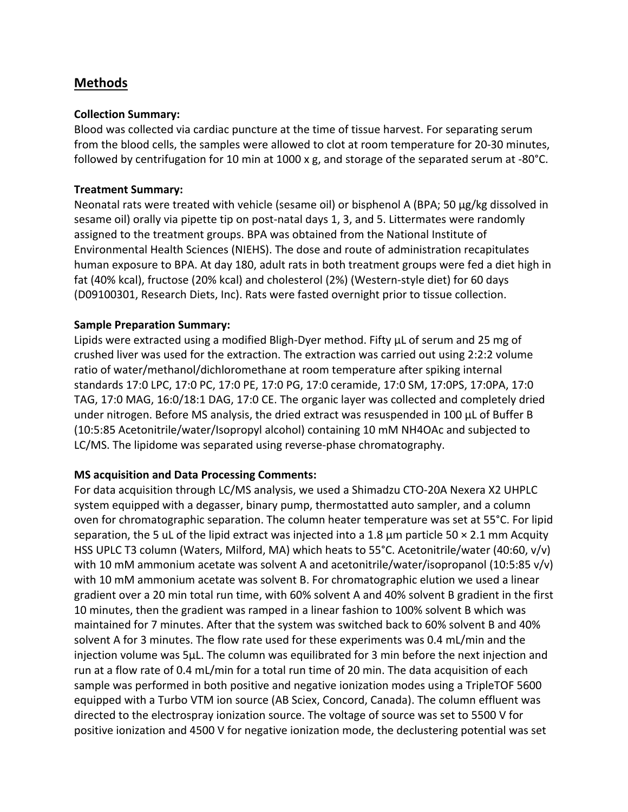# **Methods**

### **Collection Summary:**

Blood was collected via cardiac puncture at the time of tissue harvest. For separating serum from the blood cells, the samples were allowed to clot at room temperature for 20-30 minutes, followed by centrifugation for 10 min at 1000 x g, and storage of the separated serum at -80°C.

### **Treatment Summary:**

Neonatal rats were treated with vehicle (sesame oil) or bisphenol A (BPA; 50 µg/kg dissolved in sesame oil) orally via pipette tip on post-natal days 1, 3, and 5. Littermates were randomly assigned to the treatment groups. BPA was obtained from the National Institute of Environmental Health Sciences (NIEHS). The dose and route of administration recapitulates human exposure to BPA. At day 180, adult rats in both treatment groups were fed a diet high in fat (40% kcal), fructose (20% kcal) and cholesterol (2%) (Western-style diet) for 60 days (D09100301, Research Diets, Inc). Rats were fasted overnight prior to tissue collection.

## **Sample Preparation Summary:**

Lipids were extracted using a modified Bligh-Dyer method. Fifty µL of serum and 25 mg of crushed liver was used for the extraction. The extraction was carried out using 2:2:2 volume ratio of water/methanol/dichloromethane at room temperature after spiking internal standards 17:0 LPC, 17:0 PC, 17:0 PE, 17:0 PG, 17:0 ceramide, 17:0 SM, 17:0PS, 17:0PA, 17:0 TAG, 17:0 MAG, 16:0/18:1 DAG, 17:0 CE. The organic layer was collected and completely dried under nitrogen. Before MS analysis, the dried extract was resuspended in 100 μL of Buffer B (10:5:85 Acetonitrile/water/Isopropyl alcohol) containing 10 mM NH4OAc and subjected to LC/MS. The lipidome was separated using reverse-phase chromatography.

#### **MS acquisition and Data Processing Comments:**

For data acquisition through LC/MS analysis, we used a Shimadzu CTO-20A Nexera X2 UHPLC system equipped with a degasser, binary pump, thermostatted auto sampler, and a column oven for chromatographic separation. The column heater temperature was set at 55°C. For lipid separation, the 5 uL of the lipid extract was injected into a 1.8  $\mu$ m particle 50  $\times$  2.1 mm Acquity HSS UPLC T3 column (Waters, Milford, MA) which heats to 55°C. Acetonitrile/water (40:60, v/v) with 10 mM ammonium acetate was solvent A and acetonitrile/water/isopropanol (10:5:85 v/v) with 10 mM ammonium acetate was solvent B. For chromatographic elution we used a linear gradient over a 20 min total run time, with 60% solvent A and 40% solvent B gradient in the first 10 minutes, then the gradient was ramped in a linear fashion to 100% solvent B which was maintained for 7 minutes. After that the system was switched back to 60% solvent B and 40% solvent A for 3 minutes. The flow rate used for these experiments was 0.4 mL/min and the injection volume was 5μL. The column was equilibrated for 3 min before the next injection and run at a flow rate of 0.4 mL/min for a total run time of 20 min. The data acquisition of each sample was performed in both positive and negative ionization modes using a TripleTOF 5600 equipped with a Turbo VTM ion source (AB Sciex, Concord, Canada). The column effluent was directed to the electrospray ionization source. The voltage of source was set to 5500 V for positive ionization and 4500 V for negative ionization mode, the declustering potential was set